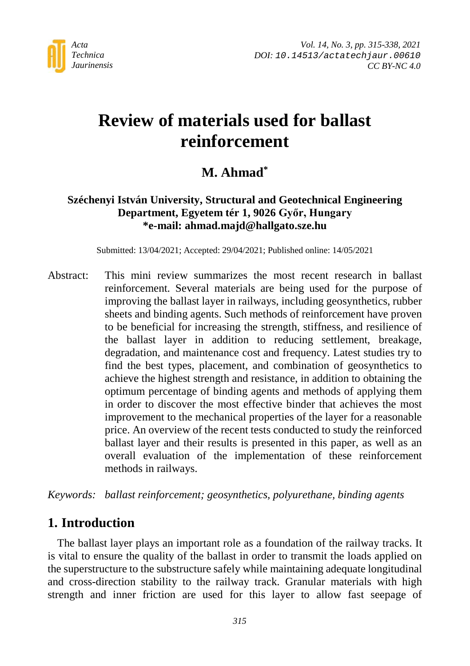

# **Review of materials used for ballast reinforcement**

# **M. Ahmad\***

## **Széchenyi István University, Structural and Geotechnical Engineering Department, Egyetem tér 1, 9026 Győr, Hungary \*e-mail: ahmad.majd@hallgato.sze.hu**

Submitted: 13/04/2021; Accepted: 29/04/2021; Published online: 14/05/2021

Abstract: This mini review summarizes the most recent research in ballast reinforcement. Several materials are being used for the purpose of improving the ballast layer in railways, including geosynthetics, rubber sheets and binding agents. Such methods of reinforcement have proven to be beneficial for increasing the strength, stiffness, and resilience of the ballast layer in addition to reducing settlement, breakage, degradation, and maintenance cost and frequency. Latest studies try to find the best types, placement, and combination of geosynthetics to achieve the highest strength and resistance, in addition to obtaining the optimum percentage of binding agents and methods of applying them in order to discover the most effective binder that achieves the most improvement to the mechanical properties of the layer for a reasonable price. An overview of the recent tests conducted to study the reinforced ballast layer and their results is presented in this paper, as well as an overall evaluation of the implementation of these reinforcement methods in railways.

*Keywords: ballast reinforcement; geosynthetics, polyurethane, binding agents*

## **1. Introduction**

The ballast layer plays an important role as a foundation of the railway tracks. It is vital to ensure the quality of the ballast in order to transmit the loads applied on the superstructure to the substructure safely while maintaining adequate longitudinal and cross-direction stability to the railway track. Granular materials with high strength and inner friction are used for this layer to allow fast seepage of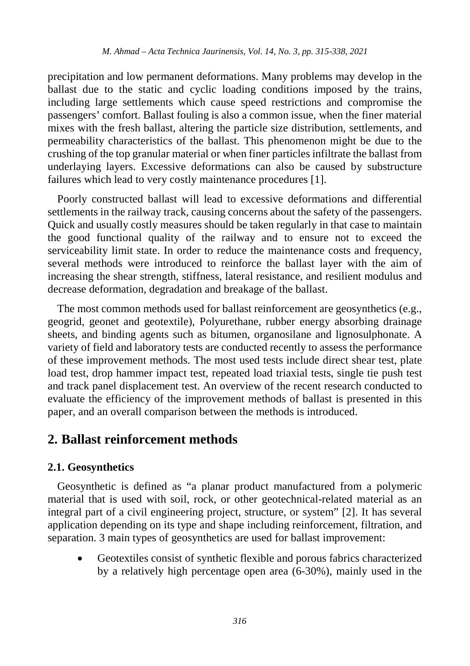precipitation and low permanent deformations. Many problems may develop in the ballast due to the static and cyclic loading conditions imposed by the trains, including large settlements which cause speed restrictions and compromise the passengers' comfort. Ballast fouling is also a common issue, when the finer material mixes with the fresh ballast, altering the particle size distribution, settlements, and permeability characteristics of the ballast. This phenomenon might be due to the crushing of the top granular material or when finer particles infiltrate the ballast from underlaying layers. Excessive deformations can also be caused by substructure failures which lead to very costly maintenance procedures [1].

Poorly constructed ballast will lead to excessive deformations and differential settlements in the railway track, causing concerns about the safety of the passengers. Quick and usually costly measures should be taken regularly in that case to maintain the good functional quality of the railway and to ensure not to exceed the serviceability limit state. In order to reduce the maintenance costs and frequency, several methods were introduced to reinforce the ballast layer with the aim of increasing the shear strength, stiffness, lateral resistance, and resilient modulus and decrease deformation, degradation and breakage of the ballast.

The most common methods used for ballast reinforcement are geosynthetics (e.g., geogrid, geonet and geotextile), Polyurethane, rubber energy absorbing drainage sheets, and binding agents such as bitumen, organosilane and lignosulphonate. A variety of field and laboratory tests are conducted recently to assess the performance of these improvement methods. The most used tests include direct shear test, plate load test, drop hammer impact test, repeated load triaxial tests, single tie push test and track panel displacement test. An overview of the recent research conducted to evaluate the efficiency of the improvement methods of ballast is presented in this paper, and an overall comparison between the methods is introduced.

## **2. Ballast reinforcement methods**

#### **2.1. Geosynthetics**

Geosynthetic is defined as "a planar product manufactured from a polymeric material that is used with soil, rock, or other geotechnical-related material as an integral part of a civil engineering project, structure, or system" [2]. It has several application depending on its type and shape including reinforcement, filtration, and separation. 3 main types of geosynthetics are used for ballast improvement:

• Geotextiles consist of synthetic flexible and porous fabrics characterized by a relatively high percentage open area (6-30%), mainly used in the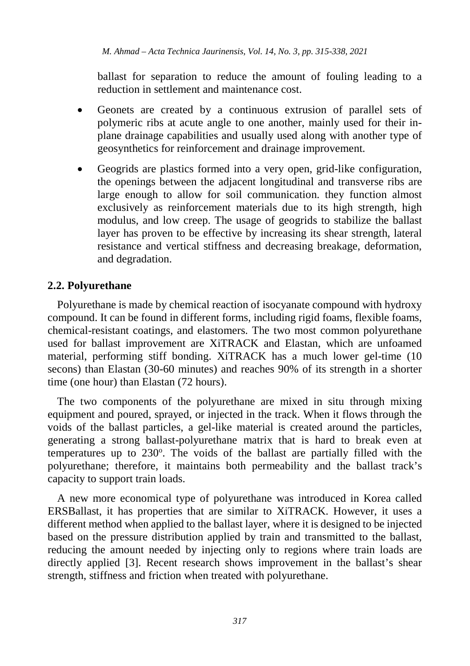ballast for separation to reduce the amount of fouling leading to a reduction in settlement and maintenance cost.

- Geonets are created by a continuous extrusion of parallel sets of polymeric ribs at acute angle to one another, mainly used for their inplane drainage capabilities and usually used along with another type of geosynthetics for reinforcement and drainage improvement.
- Geogrids are plastics formed into a very open, grid-like configuration, the openings between the adjacent longitudinal and transverse ribs are large enough to allow for soil communication. they function almost exclusively as reinforcement materials due to its high strength, high modulus, and low creep. The usage of geogrids to stabilize the ballast layer has proven to be effective by increasing its shear strength, lateral resistance and vertical stiffness and decreasing breakage, deformation, and degradation.

### **2.2. Polyurethane**

Polyurethane is made by chemical reaction of isocyanate compound with hydroxy compound. It can be found in different forms, including rigid foams, flexible foams, chemical-resistant coatings, and elastomers. The two most common polyurethane used for ballast improvement are XiTRACK and Elastan, which are unfoamed material, performing stiff bonding. XiTRACK has a much lower gel-time (10 secons) than Elastan (30-60 minutes) and reaches 90% of its strength in a shorter time (one hour) than Elastan (72 hours).

The two components of the polyurethane are mixed in situ through mixing equipment and poured, sprayed, or injected in the track. When it flows through the voids of the ballast particles, a gel-like material is created around the particles, generating a strong ballast-polyurethane matrix that is hard to break even at temperatures up to 230°. The voids of the ballast are partially filled with the polyurethane; therefore, it maintains both permeability and the ballast track's capacity to support train loads.

A new more economical type of polyurethane was introduced in Korea called ERSBallast, it has properties that are similar to XiTRACK. However, it uses a different method when applied to the ballast layer, where it is designed to be injected based on the pressure distribution applied by train and transmitted to the ballast, reducing the amount needed by injecting only to regions where train loads are directly applied [3]. Recent research shows improvement in the ballast's shear strength, stiffness and friction when treated with polyurethane.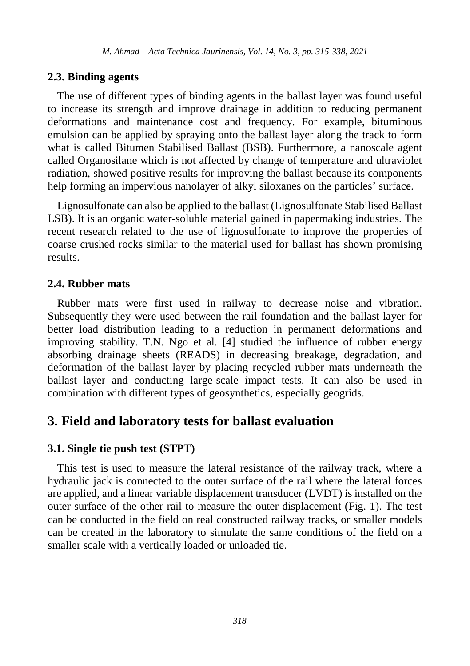#### **2.3. Binding agents**

The use of different types of binding agents in the ballast layer was found useful to increase its strength and improve drainage in addition to reducing permanent deformations and maintenance cost and frequency. For example, bituminous emulsion can be applied by spraying onto the ballast layer along the track to form what is called Bitumen Stabilised Ballast (BSB). Furthermore, a nanoscale agent called Organosilane which is not affected by change of temperature and ultraviolet radiation, showed positive results for improving the ballast because its components help forming an impervious nanolayer of alkyl siloxanes on the particles' surface.

Lignosulfonate can also be applied to the ballast (Lignosulfonate Stabilised Ballast LSB). It is an organic water-soluble material gained in papermaking industries. The recent research related to the use of lignosulfonate to improve the properties of coarse crushed rocks similar to the material used for ballast has shown promising results.

#### **2.4. Rubber mats**

Rubber mats were first used in railway to decrease noise and vibration. Subsequently they were used between the rail foundation and the ballast layer for better load distribution leading to a reduction in permanent deformations and improving stability. T.N. Ngo et al. [4] studied the influence of rubber energy absorbing drainage sheets (READS) in decreasing breakage, degradation, and deformation of the ballast layer by placing recycled rubber mats underneath the ballast layer and conducting large-scale impact tests. It can also be used in combination with different types of geosynthetics, especially geogrids.

# **3. Field and laboratory tests for ballast evaluation**

#### **3.1. Single tie push test (STPT)**

This test is used to measure the lateral resistance of the railway track, where a hydraulic jack is connected to the outer surface of the rail where the lateral forces are applied, and a linear variable displacement transducer (LVDT) is installed on the outer surface of the other rail to measure the outer displacement (Fig. 1). The test can be conducted in the field on real constructed railway tracks, or smaller models can be created in the laboratory to simulate the same conditions of the field on a smaller scale with a vertically loaded or unloaded tie.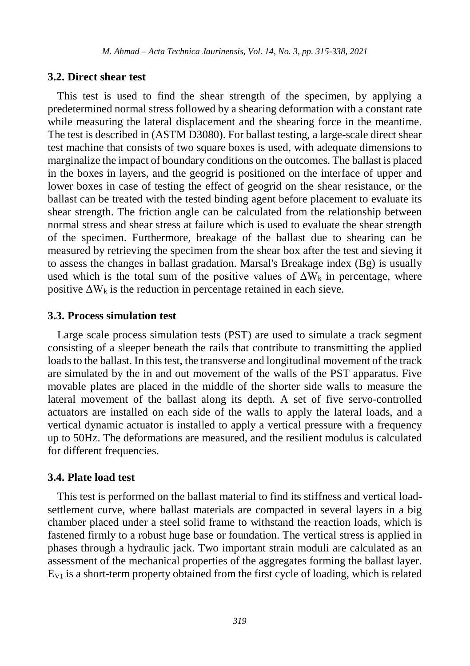#### **3.2. Direct shear test**

This test is used to find the shear strength of the specimen, by applying a predetermined normal stress followed by a shearing deformation with a constant rate while measuring the lateral displacement and the shearing force in the meantime. The test is described in (ASTM D3080). For ballast testing, a large-scale direct shear test machine that consists of two square boxes is used, with adequate dimensions to marginalize the impact of boundary conditions on the outcomes. The ballast is placed in the boxes in layers, and the geogrid is positioned on the interface of upper and lower boxes in case of testing the effect of geogrid on the shear resistance, or the ballast can be treated with the tested binding agent before placement to evaluate its shear strength. The friction angle can be calculated from the relationship between normal stress and shear stress at failure which is used to evaluate the shear strength of the specimen. Furthermore, breakage of the ballast due to shearing can be measured by retrieving the specimen from the shear box after the test and sieving it to assess the changes in ballast gradation. Marsal's Breakage index (Bg) is usually used which is the total sum of the positive values of  $\Delta W_k$  in percentage, where positive  $\Delta W_k$  is the reduction in percentage retained in each sieve.

#### **3.3. Process simulation test**

Large scale process simulation tests (PST) are used to simulate a track segment consisting of a sleeper beneath the rails that contribute to transmitting the applied loads to the ballast. In this test, the transverse and longitudinal movement of the track are simulated by the in and out movement of the walls of the PST apparatus. Five movable plates are placed in the middle of the shorter side walls to measure the lateral movement of the ballast along its depth. A set of five servo-controlled actuators are installed on each side of the walls to apply the lateral loads, and a vertical dynamic actuator is installed to apply a vertical pressure with a frequency up to 50Hz. The deformations are measured, and the resilient modulus is calculated for different frequencies.

#### **3.4. Plate load test**

This test is performed on the ballast material to find its stiffness and vertical loadsettlement curve, where ballast materials are compacted in several layers in a big chamber placed under a steel solid frame to withstand the reaction loads, which is fastened firmly to a robust huge base or foundation. The vertical stress is applied in phases through a hydraulic jack. Two important strain moduli are calculated as an assessment of the mechanical properties of the aggregates forming the ballast layer.  $E_{V1}$  is a short-term property obtained from the first cycle of loading, which is related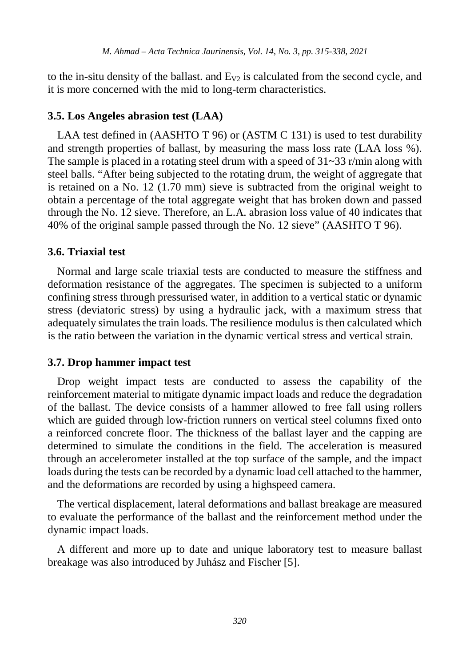to the in-situ density of the ballast. and  $E_{V2}$  is calculated from the second cycle, and it is more concerned with the mid to long-term characteristics.

#### **3.5. Los Angeles abrasion test (LAA)**

LAA test defined in (AASHTO T 96) or (ASTM C 131) is used to test durability and strength properties of ballast, by measuring the mass loss rate (LAA loss %). The sample is placed in a rotating steel drum with a speed of 31~33 r/min along with steel balls. "After being subjected to the rotating drum, the weight of aggregate that is retained on a No. 12 (1.70 mm) sieve is subtracted from the original weight to obtain a percentage of the total aggregate weight that has broken down and passed through the No. 12 sieve. Therefore, an L.A. abrasion loss value of 40 indicates that 40% of the original sample passed through the No. 12 sieve" (AASHTO T 96).

#### **3.6. Triaxial test**

Normal and large scale triaxial tests are conducted to measure the stiffness and deformation resistance of the aggregates. The specimen is subjected to a uniform confining stress through pressurised water, in addition to a vertical static or dynamic stress (deviatoric stress) by using a hydraulic jack, with a maximum stress that adequately simulates the train loads. The resilience modulus is then calculated which is the ratio between the variation in the dynamic vertical stress and vertical strain.

#### **3.7. Drop hammer impact test**

Drop weight impact tests are conducted to assess the capability of the reinforcement material to mitigate dynamic impact loads and reduce the degradation of the ballast. The device consists of a hammer allowed to free fall using rollers which are guided through low-friction runners on vertical steel columns fixed onto a reinforced concrete floor. The thickness of the ballast layer and the capping are determined to simulate the conditions in the field. The acceleration is measured through an accelerometer installed at the top surface of the sample, and the impact loads during the tests can be recorded by a dynamic load cell attached to the hammer, and the deformations are recorded by using a highspeed camera.

The vertical displacement, lateral deformations and ballast breakage are measured to evaluate the performance of the ballast and the reinforcement method under the dynamic impact loads.

A different and more up to date and unique laboratory test to measure ballast breakage was also introduced by Juhász and Fischer [5].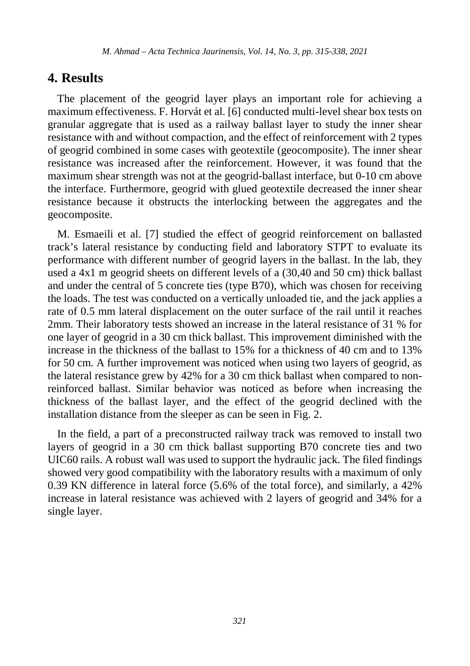## **4. Results**

The placement of the geogrid layer plays an important role for achieving a maximum effectiveness. F. Horvát et al. [6] conducted multi-level shear box tests on granular aggregate that is used as a railway ballast layer to study the inner shear resistance with and without compaction, and the effect of reinforcement with 2 types of geogrid combined in some cases with geotextile (geocomposite). The inner shear resistance was increased after the reinforcement. However, it was found that the maximum shear strength was not at the geogrid-ballast interface, but 0-10 cm above the interface. Furthermore, geogrid with glued geotextile decreased the inner shear resistance because it obstructs the interlocking between the aggregates and the geocomposite.

M. Esmaeili et al. [7] studied the effect of geogrid reinforcement on ballasted track's lateral resistance by conducting field and laboratory STPT to evaluate its performance with different number of geogrid layers in the ballast. In the lab, they used a 4x1 m geogrid sheets on different levels of a (30,40 and 50 cm) thick ballast and under the central of 5 concrete ties (type B70), which was chosen for receiving the loads. The test was conducted on a vertically unloaded tie, and the jack applies a rate of 0.5 mm lateral displacement on the outer surface of the rail until it reaches 2mm. Their laboratory tests showed an increase in the lateral resistance of 31 % for one layer of geogrid in a 30 cm thick ballast. This improvement diminished with the increase in the thickness of the ballast to 15% for a thickness of 40 cm and to 13% for 50 cm. A further improvement was noticed when using two layers of geogrid, as the lateral resistance grew by 42% for a 30 cm thick ballast when compared to nonreinforced ballast. Similar behavior was noticed as before when increasing the thickness of the ballast layer, and the effect of the geogrid declined with the installation distance from the sleeper as can be seen in Fig. 2.

In the field, a part of a preconstructed railway track was removed to install two layers of geogrid in a 30 cm thick ballast supporting B70 concrete ties and two UIC60 rails. A robust wall was used to support the hydraulic jack. The filed findings showed very good compatibility with the laboratory results with a maximum of only 0.39 KN difference in lateral force (5.6% of the total force), and similarly, a 42% increase in lateral resistance was achieved with 2 layers of geogrid and 34% for a single layer.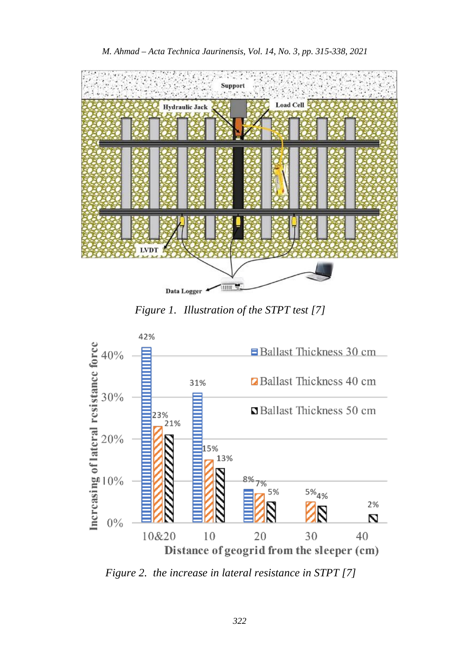



*Figure 1. Illustration of the STPT test [7]*



*Figure 2. the increase in lateral resistance in STPT [7]*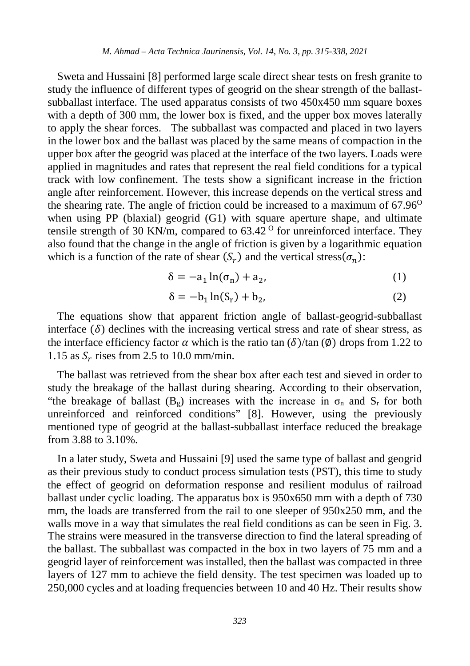Sweta and Hussaini [8] performed large scale direct shear tests on fresh granite to study the influence of different types of geogrid on the shear strength of the ballastsubballast interface. The used apparatus consists of two 450x450 mm square boxes with a depth of 300 mm, the lower box is fixed, and the upper box moves laterally to apply the shear forces. The subballast was compacted and placed in two layers in the lower box and the ballast was placed by the same means of compaction in the upper box after the geogrid was placed at the interface of the two layers. Loads were applied in magnitudes and rates that represent the real field conditions for a typical track with low confinement. The tests show a significant increase in the friction angle after reinforcement. However, this increase depends on the vertical stress and the shearing rate. The angle of friction could be increased to a maximum of  $67.96^{\circ}$ when using PP (blaxial) geogrid (G1) with square aperture shape, and ultimate tensile strength of 30 KN/m, compared to  $63.42^{\circ}$  for unreinforced interface. They also found that the change in the angle of friction is given by a logarithmic equation which is a function of the rate of shear  $(S_r)$  and the vertical stress $(\sigma_n)$ :

$$
\delta = -a_1 \ln(\sigma_n) + a_2,\tag{1}
$$

$$
\delta = -b_1 \ln(S_r) + b_2,\tag{2}
$$

The equations show that apparent friction angle of ballast-geogrid-subballast interface  $(\delta)$  declines with the increasing vertical stress and rate of shear stress, as the interface efficiency factor  $\alpha$  which is the ratio tan  $(\delta)/\tan(\emptyset)$  drops from 1.22 to 1.15 as  $S_r$  rises from 2.5 to 10.0 mm/min.

The ballast was retrieved from the shear box after each test and sieved in order to study the breakage of the ballast during shearing. According to their observation, "the breakage of ballast  $(B_g)$  increases with the increase in  $\sigma_n$  and  $S_r$  for both unreinforced and reinforced conditions" [8]. However, using the previously mentioned type of geogrid at the ballast-subballast interface reduced the breakage from 3.88 to 3.10%.

In a later study, Sweta and Hussaini [9] used the same type of ballast and geogrid as their previous study to conduct process simulation tests (PST), this time to study the effect of geogrid on deformation response and resilient modulus of railroad ballast under cyclic loading. The apparatus box is 950x650 mm with a depth of 730 mm, the loads are transferred from the rail to one sleeper of 950x250 mm, and the walls move in a way that simulates the real field conditions as can be seen in Fig. 3. The strains were measured in the transverse direction to find the lateral spreading of the ballast. The subballast was compacted in the box in two layers of 75 mm and a geogrid layer of reinforcement was installed, then the ballast was compacted in three layers of 127 mm to achieve the field density. The test specimen was loaded up to 250,000 cycles and at loading frequencies between 10 and 40 Hz. Their results show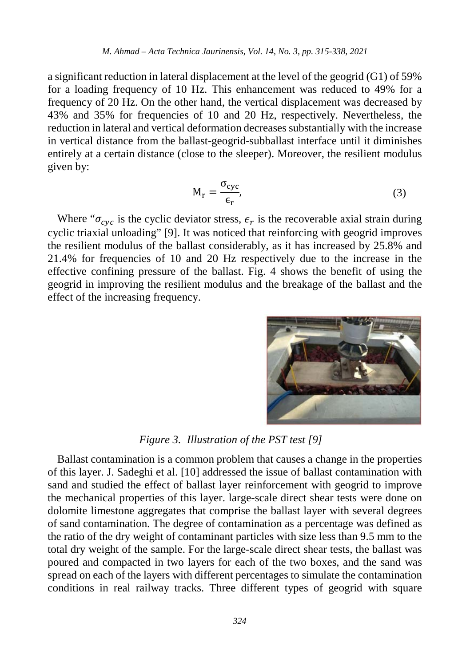a significant reduction in lateral displacement at the level of the geogrid (G1) of 59% for a loading frequency of 10 Hz. This enhancement was reduced to 49% for a frequency of 20 Hz. On the other hand, the vertical displacement was decreased by 43% and 35% for frequencies of 10 and 20 Hz, respectively. Nevertheless, the reduction in lateral and vertical deformation decreases substantially with the increase in vertical distance from the ballast-geogrid-subballast interface until it diminishes entirely at a certain distance (close to the sleeper). Moreover, the resilient modulus given by:

$$
M_r = \frac{\sigma_{\text{cyc}}}{\epsilon_r},\tag{3}
$$

Where " $\sigma_{\text{cyc}}$  is the cyclic deviator stress,  $\epsilon_r$  is the recoverable axial strain during cyclic triaxial unloading" [9]. It was noticed that reinforcing with geogrid improves the resilient modulus of the ballast considerably, as it has increased by 25.8% and 21.4% for frequencies of 10 and 20 Hz respectively due to the increase in the effective confining pressure of the ballast. Fig. 4 shows the benefit of using the geogrid in improving the resilient modulus and the breakage of the ballast and the effect of the increasing frequency.



*Figure 3. Illustration of the PST test [9]*

Ballast contamination is a common problem that causes a change in the properties of this layer. J. Sadeghi et al. [10] addressed the issue of ballast contamination with sand and studied the effect of ballast layer reinforcement with geogrid to improve the mechanical properties of this layer. large-scale direct shear tests were done on dolomite limestone aggregates that comprise the ballast layer with several degrees of sand contamination. The degree of contamination as a percentage was defined as the ratio of the dry weight of contaminant particles with size less than 9.5 mm to the total dry weight of the sample. For the large-scale direct shear tests, the ballast was poured and compacted in two layers for each of the two boxes, and the sand was spread on each of the layers with different percentages to simulate the contamination conditions in real railway tracks. Three different types of geogrid with square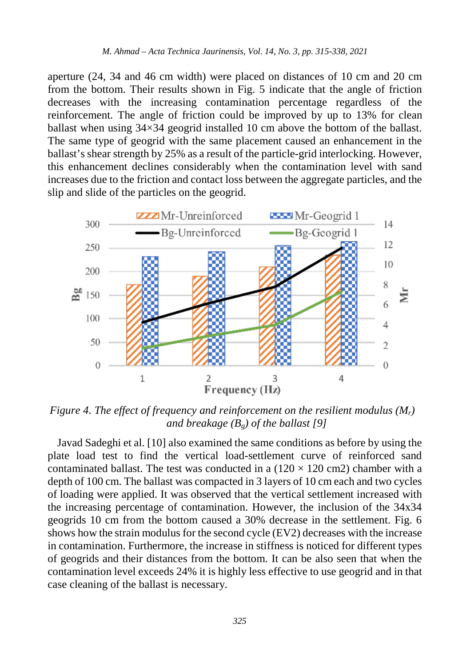aperture (24, 34 and 46 cm width) were placed on distances of 10 cm and 20 cm from the bottom. Their results shown in Fig. 5 indicate that the angle of friction decreases with the increasing contamination percentage regardless of the reinforcement. The angle of friction could be improved by up to 13% for clean ballast when using 34×34 geogrid installed 10 cm above the bottom of the ballast. The same type of geogrid with the same placement caused an enhancement in the ballast's shear strength by 25% as a result of the particle-grid interlocking. However, this enhancement declines considerably when the contamination level with sand increases due to the friction and contact loss between the aggregate particles, and the slip and slide of the particles on the geogrid.



*Figure 4. The effect of frequency and reinforcement on the resilient modulus (Mr) and breakage (Bg) of the ballast [9]*

Javad Sadeghi et al. [10] also examined the same conditions as before by using the plate load test to find the vertical load-settlement curve of reinforced sand contaminated ballast. The test was conducted in a  $(120 \times 120 \text{ cm}^2)$  chamber with a depth of 100 cm. The ballast was compacted in 3 layers of 10 cm each and two cycles of loading were applied. It was observed that the vertical settlement increased with the increasing percentage of contamination. However, the inclusion of the 34x34 geogrids 10 cm from the bottom caused a 30% decrease in the settlement. Fig. 6 shows how the strain modulus for the second cycle (EV2) decreases with the increase in contamination. Furthermore, the increase in stiffness is noticed for different types of geogrids and their distances from the bottom. It can be also seen that when the contamination level exceeds 24% it is highly less effective to use geogrid and in that case cleaning of the ballast is necessary.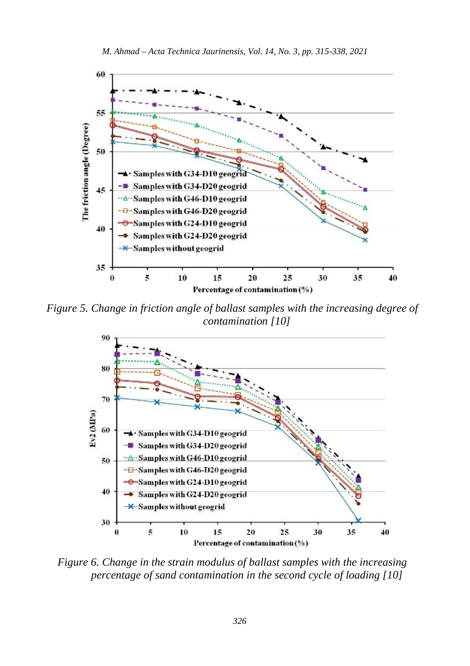

*Figure 5. Change in friction angle of ballast samples with the increasing degree of contamination [10]*



*Figure 6. Change in the strain modulus of ballast samples with the increasing percentage of sand contamination in the second cycle of loading [10]*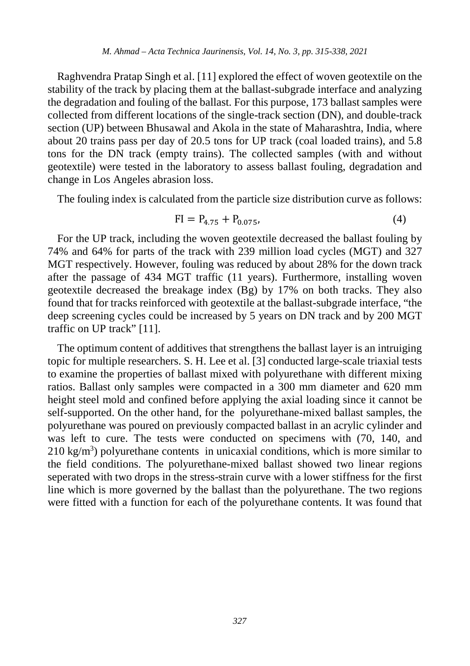Raghvendra Pratap Singh et al. [11] explored the effect of woven geotextile on the stability of the track by placing them at the ballast-subgrade interface and analyzing the degradation and fouling of the ballast. For this purpose, 173 ballast samples were collected from different locations of the single-track section (DN), and double-track section (UP) between Bhusawal and Akola in the state of Maharashtra, India, where about 20 trains pass per day of 20.5 tons for UP track (coal loaded trains), and 5.8 tons for the DN track (empty trains). The collected samples (with and without geotextile) were tested in the laboratory to assess ballast fouling, degradation and change in Los Angeles abrasion loss.

The fouling index is calculated from the particle size distribution curve as follows:

$$
FI = P_{4.75} + P_{0.075}, \tag{4}
$$

For the UP track, including the woven geotextile decreased the ballast fouling by 74% and 64% for parts of the track with 239 million load cycles (MGT) and 327 MGT respectively. However, fouling was reduced by about 28% for the down track after the passage of 434 MGT traffic (11 years). Furthermore, installing woven geotextile decreased the breakage index (Bg) by 17% on both tracks. They also found that for tracks reinforced with geotextile at the ballast-subgrade interface, "the deep screening cycles could be increased by 5 years on DN track and by 200 MGT traffic on UP track" [11].

The optimum content of additives that strengthens the ballast layer is an intruiging topic for multiple researchers. S. H. Lee et al. [3] conducted large-scale triaxial tests to examine the properties of ballast mixed with polyurethane with different mixing ratios. Ballast only samples were compacted in a 300 mm diameter and 620 mm height steel mold and confined before applying the axial loading since it cannot be self-supported. On the other hand, for the polyurethane-mixed ballast samples, the polyurethane was poured on previously compacted ballast in an acrylic cylinder and was left to cure. The tests were conducted on specimens with (70, 140, and  $210 \text{ kg/m}^3$ ) polyurethane contents in unicaxial conditions, which is more similar to the field conditions. The polyurethane-mixed ballast showed two linear regions seperated with two drops in the stress-strain curve with a lower stiffness for the first line which is more governed by the ballast than the polyurethane. The two regions were fitted with a function for each of the polyurethane contents. It was found that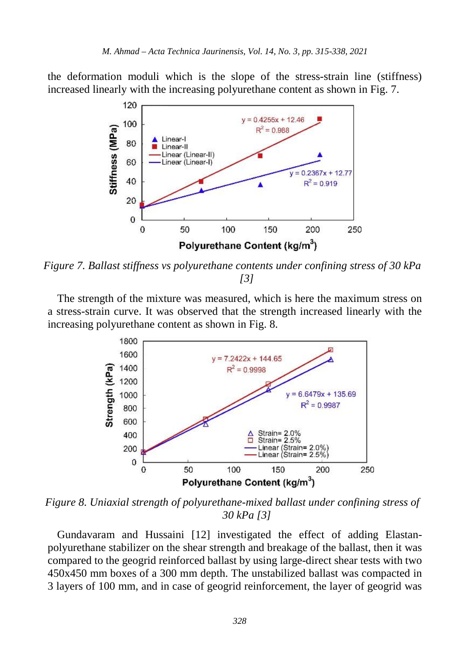the deformation moduli which is the slope of the stress-strain line (stiffness) increased linearly with the increasing polyurethane content as shown in Fig. 7.



*Figure 7. Ballast stiffness vs polyurethane contents under confining stress of 30 kPa [3]*

The strength of the mixture was measured, which is here the maximum stress on a stress-strain curve. It was observed that the strength increased linearly with the increasing polyurethane content as shown in Fig. 8.



*Figure 8. Uniaxial strength of polyurethane-mixed ballast under confining stress of 30 kPa [3]*

Gundavaram and Hussaini [12] investigated the effect of adding Elastanpolyurethane stabilizer on the shear strength and breakage of the ballast, then it was compared to the geogrid reinforced ballast by using large-direct shear tests with two 450x450 mm boxes of a 300 mm depth. The unstabilized ballast was compacted in 3 layers of 100 mm, and in case of geogrid reinforcement, the layer of geogrid was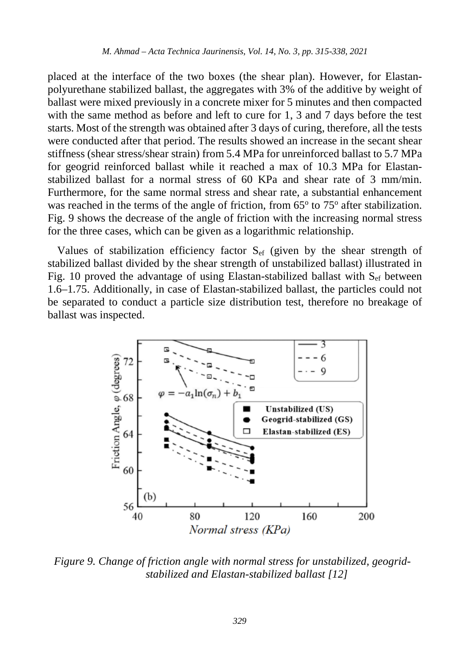placed at the interface of the two boxes (the shear plan). However, for Elastanpolyurethane stabilized ballast, the aggregates with 3% of the additive by weight of ballast were mixed previously in a concrete mixer for 5 minutes and then compacted with the same method as before and left to cure for 1, 3 and 7 days before the test starts. Most of the strength was obtained after 3 days of curing, therefore, all the tests were conducted after that period. The results showed an increase in the secant shear stiffness (shear stress/shear strain) from 5.4 MPa for unreinforced ballast to 5.7 MPa for geogrid reinforced ballast while it reached a max of 10.3 MPa for Elastanstabilized ballast for a normal stress of 60 KPa and shear rate of 3 mm/min. Furthermore, for the same normal stress and shear rate, a substantial enhancement was reached in the terms of the angle of friction, from  $65^{\circ}$  to  $75^{\circ}$  after stabilization. Fig. 9 shows the decrease of the angle of friction with the increasing normal stress for the three cases, which can be given as a logarithmic relationship.

Values of stabilization efficiency factor  $S_{ef}$  (given by the shear strength of stabilized ballast divided by the shear strength of unstabilized ballast) illustrated in Fig. 10 proved the advantage of using Elastan-stabilized ballast with  $S_{\text{ef}}$  between 1.6–1.75. Additionally, in case of Elastan-stabilized ballast, the particles could not be separated to conduct a particle size distribution test, therefore no breakage of ballast was inspected.



*Figure 9. Change of friction angle with normal stress for unstabilized, geogridstabilized and Elastan-stabilized ballast [12]*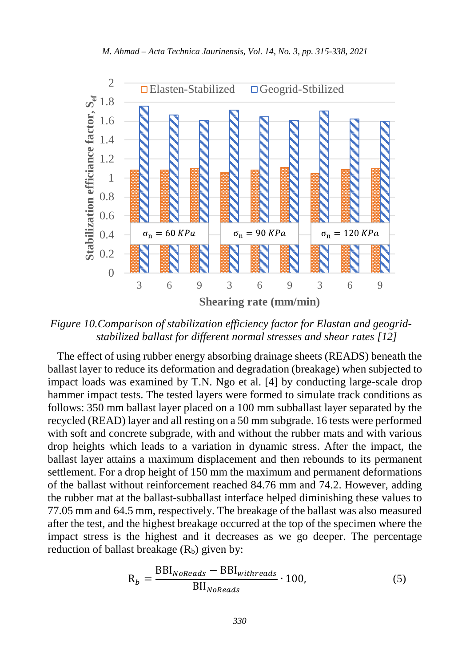

*Figure 10.Comparison of stabilization efficiency factor for Elastan and geogridstabilized ballast for different normal stresses and shear rates [12]*

The effect of using rubber energy absorbing drainage sheets (READS) beneath the ballast layer to reduce its deformation and degradation (breakage) when subjected to impact loads was examined by T.N. Ngo et al. [4] by conducting large-scale drop hammer impact tests. The tested layers were formed to simulate track conditions as follows: 350 mm ballast layer placed on a 100 mm subballast layer separated by the recycled (READ) layer and all resting on a 50 mm subgrade. 16 tests were performed with soft and concrete subgrade, with and without the rubber mats and with various drop heights which leads to a variation in dynamic stress. After the impact, the ballast layer attains a maximum displacement and then rebounds to its permanent settlement. For a drop height of 150 mm the maximum and permanent deformations of the ballast without reinforcement reached 84.76 mm and 74.2. However, adding the rubber mat at the ballast-subballast interface helped diminishing these values to 77.05 mm and 64.5 mm, respectively. The breakage of the ballast was also measured after the test, and the highest breakage occurred at the top of the specimen where the impact stress is the highest and it decreases as we go deeper. The percentage reduction of ballast breakage  $(R_b)$  given by:

$$
R_b = \frac{BBI_{NoReads} - BBI_{withreads}}{BII_{NoReads}} \cdot 100,
$$
 (5)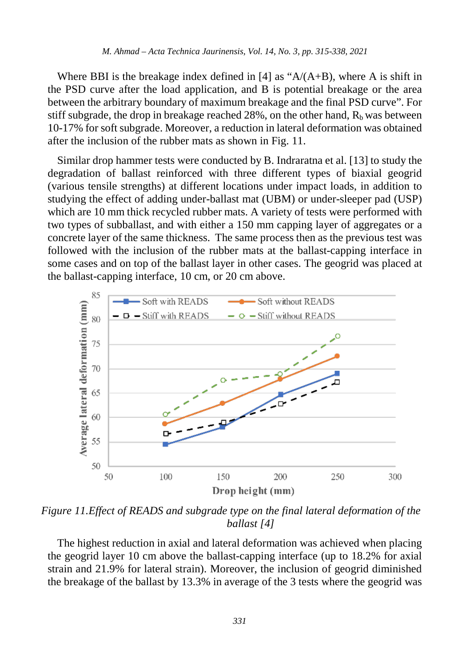Where BBI is the breakage index defined in [4] as " $A/(A+B)$ , where A is shift in the PSD curve after the load application, and B is potential breakage or the area between the arbitrary boundary of maximum breakage and the final PSD curve". For stiff subgrade, the drop in breakage reached 28%, on the other hand,  $R_b$  was between 10-17% for soft subgrade. Moreover, a reduction in lateral deformation was obtained after the inclusion of the rubber mats as shown in Fig. 11.

Similar drop hammer tests were conducted by B. Indraratna et al. [13] to study the degradation of ballast reinforced with three different types of biaxial geogrid (various tensile strengths) at different locations under impact loads, in addition to studying the effect of adding under-ballast mat (UBM) or under-sleeper pad (USP) which are 10 mm thick recycled rubber mats. A variety of tests were performed with two types of subballast, and with either a 150 mm capping layer of aggregates or a concrete layer of the same thickness. The same process then as the previous test was followed with the inclusion of the rubber mats at the ballast-capping interface in some cases and on top of the ballast layer in other cases. The geogrid was placed at the ballast-capping interface, 10 cm, or 20 cm above.



*Figure 11.Effect of READS and subgrade type on the final lateral deformation of the ballast [4]*

The highest reduction in axial and lateral deformation was achieved when placing the geogrid layer 10 cm above the ballast-capping interface (up to 18.2% for axial strain and 21.9% for lateral strain). Moreover, the inclusion of geogrid diminished the breakage of the ballast by 13.3% in average of the 3 tests where the geogrid was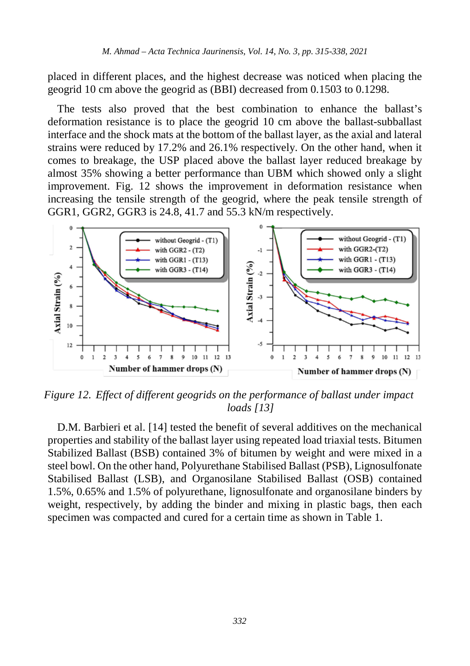placed in different places, and the highest decrease was noticed when placing the geogrid 10 cm above the geogrid as (BBI) decreased from 0.1503 to 0.1298.

The tests also proved that the best combination to enhance the ballast's deformation resistance is to place the geogrid 10 cm above the ballast-subballast interface and the shock mats at the bottom of the ballast layer, as the axial and lateral strains were reduced by 17.2% and 26.1% respectively. On the other hand, when it comes to breakage, the USP placed above the ballast layer reduced breakage by almost 35% showing a better performance than UBM which showed only a slight improvement. Fig. 12 shows the improvement in deformation resistance when increasing the tensile strength of the geogrid, where the peak tensile strength of GGR1, GGR2, GGR3 is 24.8, 41.7 and 55.3 kN/m respectively.



*Figure 12. Effect of different geogrids on the performance of ballast under impact loads [13]*

D.M. Barbieri et al. [14] tested the benefit of several additives on the mechanical properties and stability of the ballast layer using repeated load triaxial tests. Bitumen Stabilized Ballast (BSB) contained 3% of bitumen by weight and were mixed in a steel bowl. On the other hand, Polyurethane Stabilised Ballast (PSB), Lignosulfonate Stabilised Ballast (LSB), and Organosilane Stabilised Ballast (OSB) contained 1.5%, 0.65% and 1.5% of polyurethane, lignosulfonate and organosilane binders by weight, respectively, by adding the binder and mixing in plastic bags, then each specimen was compacted and cured for a certain time as shown in Table 1.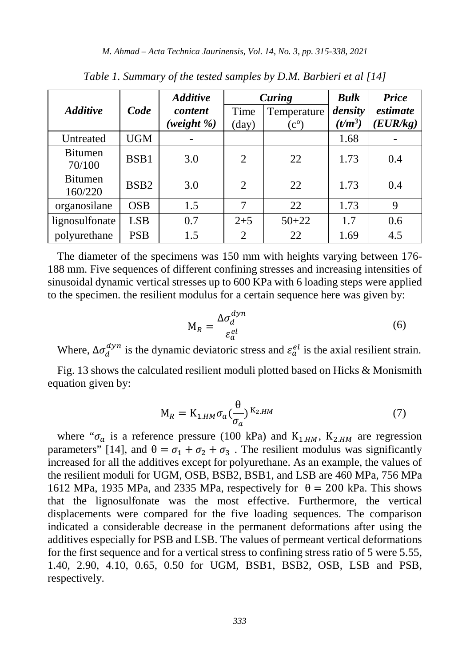| <b>Additive</b>           | Code             | <b>Additive</b><br>content<br>weight %) | Curing        |                                   | <b>Bulk</b>          | Price                |
|---------------------------|------------------|-----------------------------------------|---------------|-----------------------------------|----------------------|----------------------|
|                           |                  |                                         | Time<br>(day) | Temperature<br>$(c^{\mathrm{o}})$ | density<br>$(t/m^3)$ | estimate<br>(EUR/kg) |
| Untreated                 | <b>UGM</b>       |                                         |               |                                   | 1.68                 |                      |
| <b>Bitumen</b><br>70/100  | BSB1             | 3.0                                     | 2             | 22                                | 1.73                 | 0.4                  |
| <b>Bitumen</b><br>160/220 | BSB <sub>2</sub> | 3.0                                     | 2             | 22                                | 1.73                 | 0.4                  |
| organosilane              | <b>OSB</b>       | 1.5                                     | 7             | 22                                | 1.73                 | 9                    |
| lignosulfonate            | <b>LSB</b>       | 0.7                                     | $2 + 5$       | $50 + 22$                         | 1.7                  | 0.6                  |
| polyurethane              | <b>PSB</b>       | 1.5                                     | 2             | 22                                | 1.69                 | 4.5                  |

*Table 1. Summary of the tested samples by D.M. Barbieri et al [14]*

The diameter of the specimens was 150 mm with heights varying between 176- 188 mm. Five sequences of different confining stresses and increasing intensities of sinusoidal dynamic vertical stresses up to 600 KPa with 6 loading steps were applied to the specimen. the resilient modulus for a certain sequence here was given by:

$$
M_R = \frac{\Delta \sigma_d^{dyn}}{\varepsilon_d^{el}} \tag{6}
$$

Where,  $\Delta \sigma_d^{dyn}$  is the dynamic deviatoric stress and  $\varepsilon_d^{el}$  is the axial resilient strain.

Fig. 13 shows the calculated resilient moduli plotted based on Hicks & Monismith equation given by:

$$
M_R = K_{1.HM} \sigma_a \left(\frac{\theta}{\sigma_a}\right)^{K_{2.HM}} \tag{7}
$$

where " $\sigma_a$  is a reference pressure (100 kPa) and K<sub>1,HM</sub>, K<sub>2,HM</sub> are regression parameters" [14], and  $\theta = \sigma_1 + \sigma_2 + \sigma_3$ . The resilient modulus was significantly increased for all the additives except for polyurethane. As an example, the values of the resilient moduli for UGM, OSB, BSB2, BSB1, and LSB are 460 MPa, 756 MPa 1612 MPa, 1935 MPa, and 2335 MPa, respectively for  $\theta = 200$  kPa. This shows that the lignosulfonate was the most effective. Furthermore, the vertical displacements were compared for the five loading sequences. The comparison indicated a considerable decrease in the permanent deformations after using the additives especially for PSB and LSB. The values of permeant vertical deformations for the first sequence and for a vertical stress to confining stress ratio of 5 were 5.55, 1.40, 2.90, 4.10, 0.65, 0.50 for UGM, BSB1, BSB2, OSB, LSB and PSB, respectively.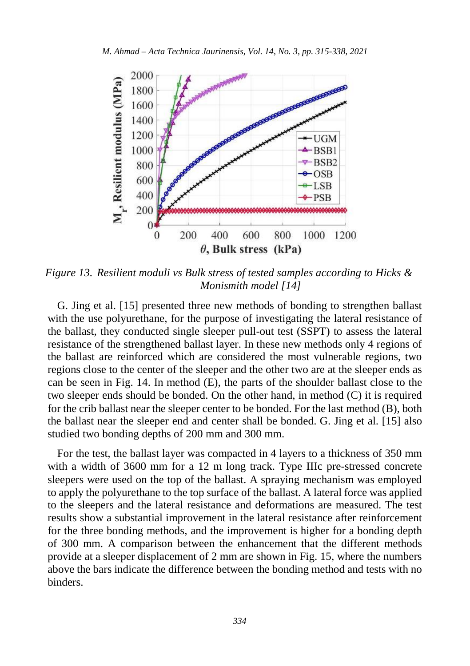

*Figure 13. Resilient moduli vs Bulk stress of tested samples according to Hicks & Monismith model [14]*

G. Jing et al. [15] presented three new methods of bonding to strengthen ballast with the use polyurethane, for the purpose of investigating the lateral resistance of the ballast, they conducted single sleeper pull-out test (SSPT) to assess the lateral resistance of the strengthened ballast layer. In these new methods only 4 regions of the ballast are reinforced which are considered the most vulnerable regions, two regions close to the center of the sleeper and the other two are at the sleeper ends as can be seen in Fig. 14. In method (E), the parts of the shoulder ballast close to the two sleeper ends should be bonded. On the other hand, in method (C) it is required for the crib ballast near the sleeper center to be bonded. For the last method (B), both the ballast near the sleeper end and center shall be bonded. G. Jing et al. [15] also studied two bonding depths of 200 mm and 300 mm.

For the test, the ballast layer was compacted in 4 layers to a thickness of 350 mm with a width of 3600 mm for a 12 m long track. Type IIIc pre-stressed concrete sleepers were used on the top of the ballast. A spraying mechanism was employed to apply the polyurethane to the top surface of the ballast. A lateral force was applied to the sleepers and the lateral resistance and deformations are measured. The test results show a substantial improvement in the lateral resistance after reinforcement for the three bonding methods, and the improvement is higher for a bonding depth of 300 mm. A comparison between the enhancement that the different methods provide at a sleeper displacement of 2 mm are shown in Fig. 15, where the numbers above the bars indicate the difference between the bonding method and tests with no binders.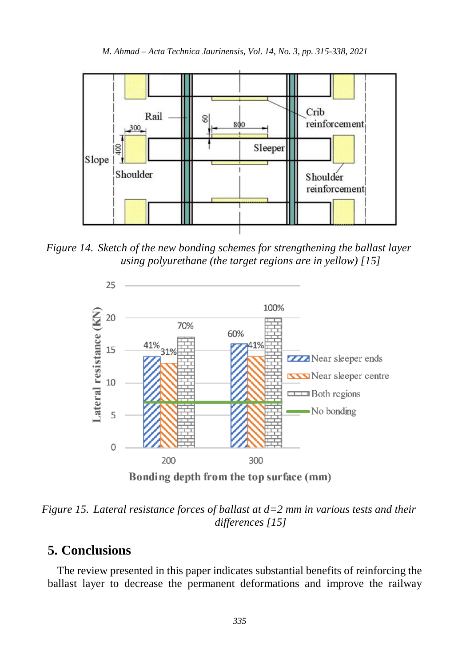

*Figure 14. Sketch of the new bonding schemes for strengthening the ballast layer using polyurethane (the target regions are in yellow) [15]*



*Figure 15. Lateral resistance forces of ballast at d=2 mm in various tests and their differences [15]*

# **5. Conclusions**

The review presented in this paper indicates substantial benefits of reinforcing the ballast layer to decrease the permanent deformations and improve the railway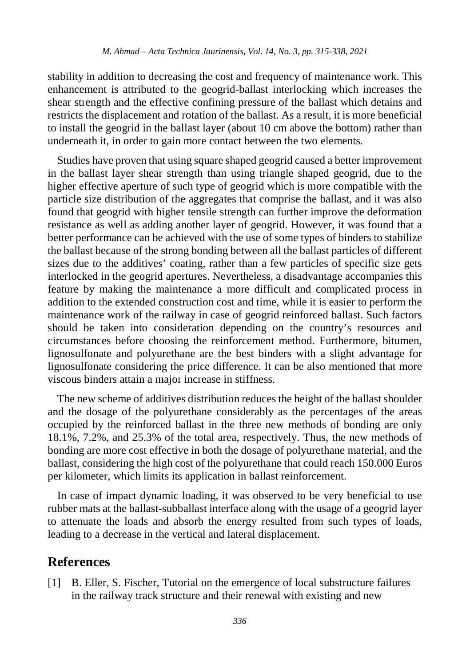stability in addition to decreasing the cost and frequency of maintenance work. This enhancement is attributed to the geogrid-ballast interlocking which increases the shear strength and the effective confining pressure of the ballast which detains and restricts the displacement and rotation of the ballast. As a result, it is more beneficial to install the geogrid in the ballast layer (about 10 cm above the bottom) rather than underneath it, in order to gain more contact between the two elements.

Studies have proven that using square shaped geogrid caused a better improvement in the ballast layer shear strength than using triangle shaped geogrid, due to the higher effective aperture of such type of geogrid which is more compatible with the particle size distribution of the aggregates that comprise the ballast, and it was also found that geogrid with higher tensile strength can further improve the deformation resistance as well as adding another layer of geogrid. However, it was found that a better performance can be achieved with the use of some types of binders to stabilize the ballast because of the strong bonding between all the ballast particles of different sizes due to the additives' coating, rather than a few particles of specific size gets interlocked in the geogrid apertures. Nevertheless, a disadvantage accompanies this feature by making the maintenance a more difficult and complicated process in addition to the extended construction cost and time, while it is easier to perform the maintenance work of the railway in case of geogrid reinforced ballast. Such factors should be taken into consideration depending on the country's resources and circumstances before choosing the reinforcement method. Furthermore, bitumen, lignosulfonate and polyurethane are the best binders with a slight advantage for lignosulfonate considering the price difference. It can be also mentioned that more viscous binders attain a major increase in stiffness.

The new scheme of additives distribution reduces the height of the ballast shoulder and the dosage of the polyurethane considerably as the percentages of the areas occupied by the reinforced ballast in the three new methods of bonding are only 18.1%, 7.2%, and 25.3% of the total area, respectively. Thus, the new methods of bonding are more cost effective in both the dosage of polyurethane material, and the ballast, considering the high cost of the polyurethane that could reach 150.000 Euros per kilometer, which limits its application in ballast reinforcement.

In case of impact dynamic loading, it was observed to be very beneficial to use rubber mats at the ballast-subballast interface along with the usage of a geogrid layer to attenuate the loads and absorb the energy resulted from such types of loads, leading to a decrease in the vertical and lateral displacement.

## **References**

[1] B. Eller, S. Fischer, Tutorial on the emergence of local substructure failures in the railway track structure and their renewal with existing and new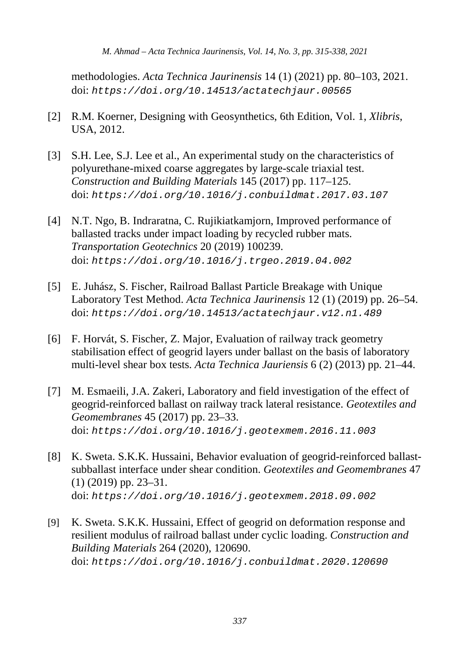*M. Ahmad – Acta Technica Jaurinensis, Vol. 14, No. 3, pp. 315-338, 2021*

methodologies. *Acta Technica Jaurinensis* 14 (1) (2021) pp. 80–103, 2021. doi: *https://doi.org/10.14513/actatechjaur.00565*

- [2] R.M. Koerner, Designing with Geosynthetics, 6th Edition, Vol. 1, *Xlibris*, USA, 2012.
- [3] S.H. Lee, S.J. Lee et al., An experimental study on the characteristics of polyurethane-mixed coarse aggregates by large-scale triaxial test. *Construction and Building Materials* 145 (2017) pp. 117–125. doi: *https://doi.org/10.1016/j.conbuildmat.2017.03.107*
- [4] N.T. Ngo, B. Indraratna, C. Rujikiatkamjorn, Improved performance of ballasted tracks under impact loading by recycled rubber mats. *Transportation Geotechnics* 20 (2019) 100239. doi: *https://doi.org/10.1016/j.trgeo.2019.04.002*
- [5] E. Juhász, S. Fischer, Railroad Ballast Particle Breakage with Unique Laboratory Test Method. *Acta Technica Jaurinensis* 12 (1) (2019) pp. 26–54. doi: *https://doi.org/10.14513/actatechjaur.v12.n1.489*
- [6] F. Horvát, S. Fischer, Z. Major, Evaluation of railway track geometry stabilisation effect of geogrid layers under ballast on the basis of laboratory multi-level shear box tests. *Acta Technica Jauriensis* 6 (2) (2013) pp. 21–44.
- [7] M. Esmaeili, J.A. Zakeri, Laboratory and field investigation of the effect of geogrid-reinforced ballast on railway track lateral resistance. *Geotextiles and Geomembranes* 45 (2017) pp. 23–33. doi: *https://doi.org/10.1016/j.geotexmem.2016.11.003*
- [8] K. Sweta. S.K.K. Hussaini, Behavior evaluation of geogrid-reinforced ballastsubballast interface under shear condition. *Geotextiles and Geomembranes* 47 (1) (2019) pp. 23–31. doi: *https://doi.org/10.1016/j.geotexmem.2018.09.002*
- [9] K. Sweta. S.K.K. Hussaini, Effect of geogrid on deformation response and resilient modulus of railroad ballast under cyclic loading. *Construction and Building Materials* 264 (2020), 120690. doi: *https://doi.org/10.1016/j.conbuildmat.2020.120690*